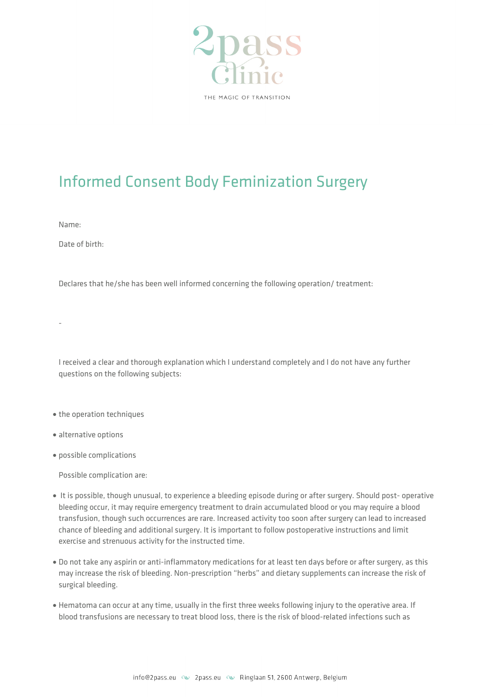

## Informed Consent Body Feminization Surgery

Name:

-

Date of birth:

Declares that he/she has been well informed concerning the following operation/ treatment:

I received a clear and thorough explanation which I understand completely and I do not have any further questions on the following subjects:

- the operation techniques
- alternative options
- possible complications

Possible complication are:

- It is possible, though unusual, to experience a bleeding episode during or after surgery. Should post- operative bleeding occur, it may require emergency treatment to drain accumulated blood or you may require a blood transfusion, though such occurrences are rare. Increased activity too soon after surgery can lead to increased chance of bleeding and additional surgery. It is important to follow postoperative instructions and limit exercise and strenuous activity for the instructed time.
- Do not take any aspirin or anti-inflammatory medications for at least ten days before or after surgery, as this may increase the risk of bleeding. Non-prescription "herbs" and dietary supplements can increase the risk of surgical bleeding.
- Hematoma can occur at any time, usually in the first three weeks following injury to the operative area. If blood transfusions are necessary to treat blood loss, there is the risk of blood-related infections such as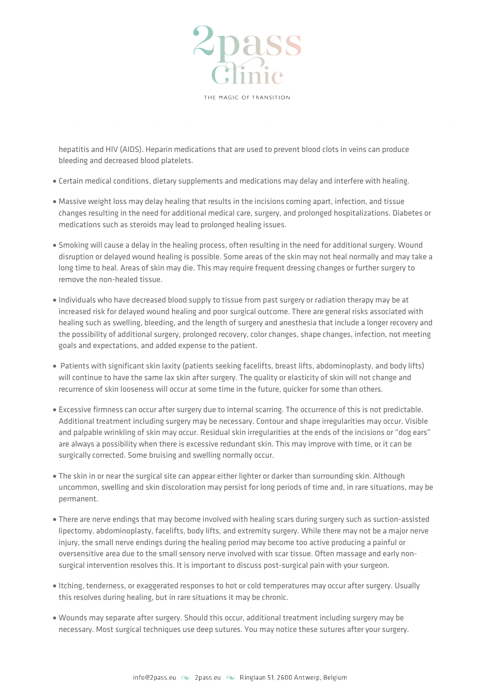

THE MAGIC OF TRANSITION

hepatitis and HIV (AIDS). Heparin medications that are used to prevent blood clots in veins can produce bleeding and decreased blood platelets.

- Certain medical conditions, dietary supplements and medications may delay and interfere with healing.
- Massive weight loss may delay healing that results in the incisions coming apart, infection, and tissue changes resulting in the need for additional medical care, surgery, and prolonged hospitalizations. Diabetes or medications such as steroids may lead to prolonged healing issues.
- Smoking will cause a delay in the healing process, often resulting in the need for additional surgery. Wound disruption or delayed wound healing is possible. Some areas of the skin may not heal normally and may take a long time to heal. Areas of skin may die. This may require frequent dressing changes or further surgery to remove the non-healed tissue.
- Individuals who have decreased blood supply to tissue from past surgery or radiation therapy may be at increased risk for delayed wound healing and poor surgical outcome. There are general risks associated with healing such as swelling, bleeding, and the length of surgery and anesthesia that include a longer recovery and the possibility of additional surgery, prolonged recovery, color changes, shape changes, infection, not meeting goals and expectations, and added expense to the patient.
- Patients with significant skin laxity (patients seeking facelifts, breast lifts, abdominoplasty, and body lifts) will continue to have the same lax skin after surgery. The quality or elasticity of skin will not change and recurrence of skin looseness will occur at some time in the future, quicker for some than others.
- Excessive firmness can occur after surgery due to internal scarring. The occurrence of this is not predictable. Additional treatment including surgery may be necessary. Contour and shape irregularities may occur. Visible and palpable wrinkling of skin may occur. Residual skin irregularities at the ends of the incisions or "dog ears" are always a possibility when there is excessive redundant skin. This may improve with time, or it can be surgically corrected. Some bruising and swelling normally occur.
- The skin in or near the surgical site can appear either lighter or darker than surrounding skin. Although uncommon, swelling and skin discoloration may persist for long periods of time and, in rare situations, may be permanent.
- There are nerve endings that may become involved with healing scars during surgery such as suction-assisted lipectomy, abdominoplasty, facelifts, body lifts, and extremity surgery. While there may not be a major nerve injury, the small nerve endings during the healing period may become too active producing a painful or oversensitive area due to the small sensory nerve involved with scar tissue. Often massage and early nonsurgical intervention resolves this. It is important to discuss post-surgical pain with your surgeon.
- Itching, tenderness, or exaggerated responses to hot or cold temperatures may occur after surgery. Usually this resolves during healing, but in rare situations it may be chronic.
- Wounds may separate after surgery. Should this occur, additional treatment including surgery may be necessary. Most surgical techniques use deep sutures. You may notice these sutures after your surgery.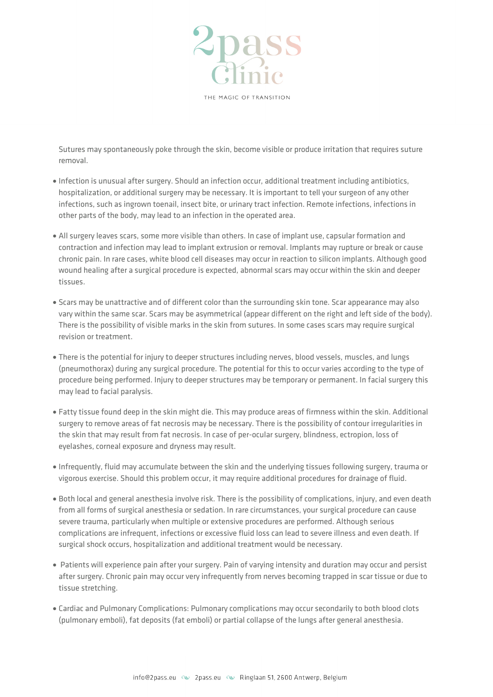

Sutures may spontaneously poke through the skin, become visible or produce irritation that requires suture removal.

- Infection is unusual after surgery. Should an infection occur, additional treatment including antibiotics, hospitalization, or additional surgery may be necessary. It is important to tell your surgeon of any other infections, such as ingrown toenail, insect bite, or urinary tract infection. Remote infections, infections in other parts of the body, may lead to an infection in the operated area.
- All surgery leaves scars, some more visible than others. In case of implant use, capsular formation and contraction and infection may lead to implant extrusion or removal. Implants may rupture or break or cause chronic pain. In rare cases, white blood cell diseases may occur in reaction to silicon implants. Although good wound healing after a surgical procedure is expected, abnormal scars may occur within the skin and deeper tissues.
- Scars may be unattractive and of different color than the surrounding skin tone. Scar appearance may also vary within the same scar. Scars may be asymmetrical (appear different on the right and left side of the body). There is the possibility of visible marks in the skin from sutures. In some cases scars may require surgical revision or treatment.
- There is the potential for injury to deeper structures including nerves, blood vessels, muscles, and lungs (pneumothorax) during any surgical procedure. The potential for this to occur varies according to the type of procedure being performed. Injury to deeper structures may be temporary or permanent. In facial surgery this may lead to facial paralysis.
- Fatty tissue found deep in the skin might die. This may produce areas of firmness within the skin. Additional surgery to remove areas of fat necrosis may be necessary. There is the possibility of contour irregularities in the skin that may result from fat necrosis. In case of per-ocular surgery, blindness, ectropion, loss of eyelashes, corneal exposure and dryness may result.
- Infrequently, fluid may accumulate between the skin and the underlying tissues following surgery, trauma or vigorous exercise. Should this problem occur, it may require additional procedures for drainage of fluid.
- Both local and general anesthesia involve risk. There is the possibility of complications, injury, and even death from all forms of surgical anesthesia or sedation. In rare circumstances, your surgical procedure can cause severe trauma, particularly when multiple or extensive procedures are performed. Although serious complications are infrequent, infections or excessive fluid loss can lead to severe illness and even death. If surgical shock occurs, hospitalization and additional treatment would be necessary.
- Patients will experience pain after your surgery. Pain of varying intensity and duration may occur and persist after surgery. Chronic pain may occur very infrequently from nerves becoming trapped in scar tissue or due to tissue stretching.
- Cardiac and Pulmonary Complications: Pulmonary complications may occur secondarily to both blood clots (pulmonary emboli), fat deposits (fat emboli) or partial collapse of the lungs after general anesthesia.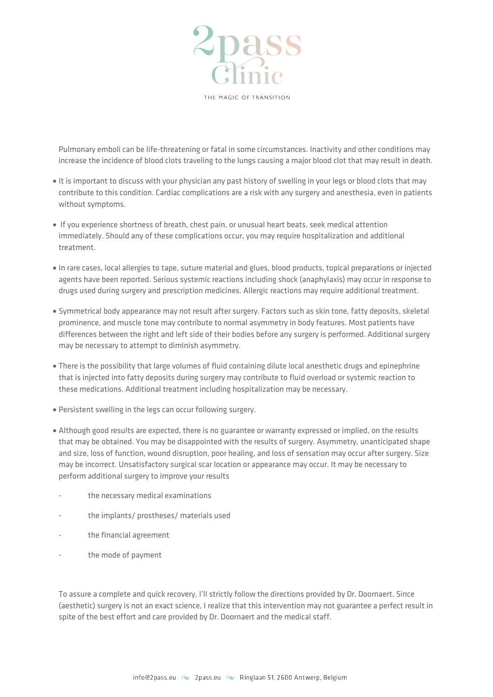

Pulmonary emboli can be life-threatening or fatal in some circumstances. Inactivity and other conditions may increase the incidence of blood clots traveling to the lungs causing a major blood clot that may result in death.

- It is important to discuss with your physician any past history of swelling in your legs or blood clots that may contribute to this condition. Cardiac complications are a risk with any surgery and anesthesia, even in patients without symptoms.
- If you experience shortness of breath, chest pain, or unusual heart beats, seek medical attention immediately. Should any of these complications occur, you may require hospitalization and additional treatment.
- In rare cases, local allergies to tape, suture material and glues, blood products, topical preparations or injected agents have been reported. Serious systemic reactions including shock (anaphylaxis) may occur in response to drugs used during surgery and prescription medicines. Allergic reactions may require additional treatment.
- Symmetrical body appearance may not result after surgery. Factors such as skin tone, fatty deposits, skeletal prominence, and muscle tone may contribute to normal asymmetry in body features. Most patients have differences between the right and left side of their bodies before any surgery is performed. Additional surgery may be necessary to attempt to diminish asymmetry.
- There is the possibility that large volumes of fluid containing dilute local anesthetic drugs and epinephrine that is injected into fatty deposits during surgery may contribute to fluid overload or systemic reaction to these medications. Additional treatment including hospitalization may be necessary.
- Persistent swelling in the legs can occur following surgery.
- Although good results are expected, there is no guarantee or warranty expressed or implied, on the results that may be obtained. You may be disappointed with the results of surgery. Asymmetry, unanticipated shape and size, loss of function, wound disruption, poor healing, and loss of sensation may occur after surgery. Size may be incorrect. Unsatisfactory surgical scar location or appearance may occur. It may be necessary to perform additional surgery to improve your results
- the necessary medical examinations
- the implants/ prostheses/ materials used
- the financial agreement
- the mode of payment

To assure a complete and quick recovery, I'll strictly follow the directions provided by Dr. Doornaert. Since (aesthetic) surgery is not an exact science, I realize that this intervention may not guarantee a perfect result in spite of the best effort and care provided by Dr. Doornaert and the medical staff.